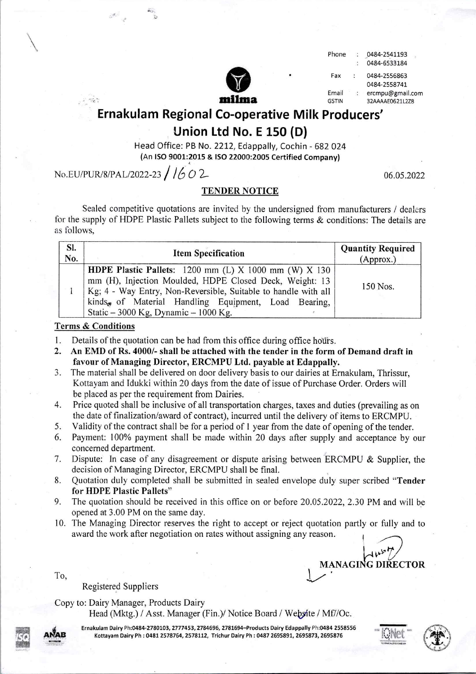| m<br>١ | m<br>r | 11 | м<br>п |
|--------|--------|----|--------|

| none | 0484-2541193 |
|------|--------------|
|      | 0484-6533184 |

Fax : 0484-2556863 0484-2558741 Email : ercmpu@gmail.com GSTIN 32AAAAE0621L2Z8

Ernakulam Regional Co-operative Milk Producers'

## Union Ltd No. E 150 (D)

Head Office: PB No. 2212, Edappally, Cochin -682 024 (An lso 9001:2015 & ISO 22000:2005 Certified Company) t

 $No.EU/PUR/8/PAL/2022-23 /1602$ 

06.05.2022

### TENDER NOTICE

Sealed competitive quotations are invited by the undersigned from manufacturers / dealers for the supply of HDPE Plastic Pallets subject to the following terms & conditions: The details are as follows,

| SI.<br>No. | <b>Item Specification</b>                                                                                                                                                                                                                                                                                   | <b>Quantity Required</b><br>(Approx.) |
|------------|-------------------------------------------------------------------------------------------------------------------------------------------------------------------------------------------------------------------------------------------------------------------------------------------------------------|---------------------------------------|
|            | <b>HDPE Plastic Pallets:</b> 1200 mm (L) $X$ 1000 mm (W) $X$ 130<br>mm (H), Injection Moulded, HDPE Closed Deck, Weight: 13<br>Kg; 4 - Way Entry, Non-Reversible, Suitable to handle with all<br>kinds <sub>«</sub> of Material Handling Equipment, Load Bearing,<br>Static $-3000$ Kg, Dynamic $-1000$ Kg. | 150 Nos.                              |

#### Terms & Conditions

- 1. Details of the quotation can be had from this office during office hours.
- 2. An EMD of Rs. 4000/- shall be attached with the tender in the form of Demand draft in favour of Managing Director, ERCMPU Ltd. payable at Edappally.
- 3. The material shall be delivered on door delivery basis to our dairies at Ernakulam, Thrissur, Kottayam and Idukki within 20 days from the date of issue of Purchase Order. Orders will be placed as per the requirement from Dairies.
- 4. Price quoted shall be inclusive of all transportation charges, taxes and duties (prevailing as on the date of finalization/award of contract), incurred until the delivery of items to ERCMPU.
- 5. Validity of the contract shall be for a period of I year from the date of opening of the tender.
- 6. Payment: 100% payment shall be made within 20 days after supply and acceptance by our concerned department.
- 7. Dispute: In case of any disagreement or dispute arising betveen ERCMPU & Supplier, the decision of Managing Director, ERCMPU shall be final.
- 8. Quotation duly completed shall be submitted in sealed envelope duly super scribed "Tender for HDPE Plastic Pallets"
- 9. The quotation should be received in this office on or before 20.05.2022, 2.30 PM and will be opened at 3.00 PM on the same day.
- 10. The Managing Director reserves the right to accept or reject quotation partly or fully and to award the work after negotiation on rates without assigning any reason.

MANAGING DIRECTOR

Registered Suppliers

Copy to: Dairy Manager, Products Dairy

Head (Mktg.) / Asst. Manager (Fin.)/ Notice Board / Website / Mf//Oc.



To,

Ernakulam Dairy Ph:0484-2780103, 2777453, 2784696, 2781694-Products Dairy Edappally Ph:0484 2558556 Kottayam Dairy Ph : 0481 2578764, 2578112, Trichur Dairy Ph : 0487 2695891, 2695873, 2695876